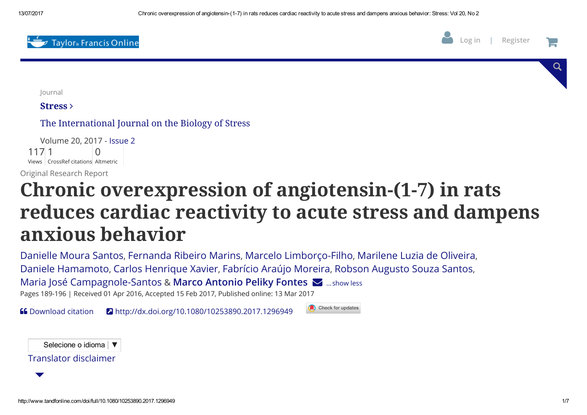

[Log](https://www.tandfonline.com/action/showLogin?uri=%2Fdoi%2Ffull%2F10.1080%2F10253890.2017.1296949) in <sup>|</sup> [Register](https://www.tandfonline.com/action/registration?redirectUri=%2F)

 $\blacksquare$ 

Q

Journal

[Stress](http://www.tandfonline.com/toc/ists20/current)

The International Journal on the Biology of Stress

Volume 20, 2017 - [Issue](http://www.tandfonline.com/toc/ists20/20/2) 2 117 1 Views CrossRef citations Altmetric  $\Omega$ 

Original Research Report

# Chronic overexpression of angiotensin-(1-7) in rats reduces cardiac reactivity to acute stress and dampens anxious behavior

Maria José [Campagnole-Santos](http://www.tandfonline.com/author/Campagnole-Santos%2C+Maria+Jos%C3%A9) & Marco [Antonio](http://www.tandfonline.com/author/Peliky+Fontes%2C+Marco+Antonio) Peliky Fontes M ...show less Pages 189-196 | Received 01 Apr 2016, Accepted 15 Feb 2017, Published online: 13 Mar 2017 [Danielle](http://www.tandfonline.com/author/Moura+Santos%2C+Danielle) Moura Santos, [Fernanda](http://www.tandfonline.com/author/Ribeiro+Marins%2C+Fernanda) Ribeiro Marins, Marcelo [Limborço-Filho](http://www.tandfonline.com/author/Limbor%C3%A7o-Filho%2C+Marcelo), [Marilene](http://www.tandfonline.com/author/de+Oliveira%2C+Marilene+Luzia) Luzia de Oliveira, Daniele [Hamamoto](http://www.tandfonline.com/author/Hamamoto%2C+Daniele), Carlos [Henrique](http://www.tandfonline.com/author/Xavier%2C+Carlos+Henrique) Xavier, Fabrício Araújo [Moreira](http://www.tandfonline.com/author/Moreira%2C+Fabr%C3%ADcio+Ara%C3%BAjo), Robson [Augusto](http://www.tandfonline.com/author/Santos%2C+Robson+Augusto+Souza) Souza Santos,

[Download](http://www.tandfonline.com/action/showCitFormats?doi=10.1080%2F10253890.2017.1296949) citation <http://dx.doi.org/10.1080/10253890.2017.1296949>

 $\Box$  Check for updates

[Selecione](javascript:void(0)) o idioma V

[Translator](http://www.tandfonline.com/action/clickThrough?id=3310&url=%2Fpage%2Fterms-and-conditions%23googletranslate&loc=%2Fdoi%2Ffull%2F10.1080%2F10253890.2017.1296949&pubId=50895240&placeholderId=1084&productId=2797) [dis](http://www.tandfonline.com/doi/ref/10.1080/10253890.2017.1296949?scroll=top)[claim](http://www.tandfonline.com/doi/citedby/10.1080/10253890.2017.1296949?scroll=top&needAccess=true)er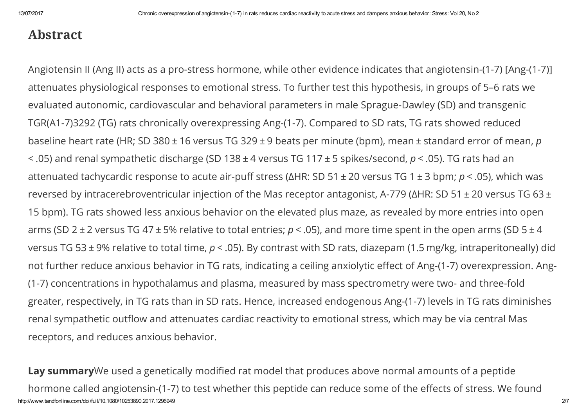#### Abstract

Angiotensin II (Ang II) acts as a pro-stress hormone, while other evidence indicates that angiotensin-(1-7) [Ang-(1-7)] attenuates physiological responses to emotional stress. To further test this hypothesis, in groups of 5–6 rats we evaluated autonomic, cardiovascular and behavioral parameters in male Sprague-Dawley (SD) and transgenic TGR(A1-7)3292 (TG) rats chronically overexpressing Ang-(1-7). Compared to SD rats, TG rats showed reduced baseline heart rate (HR; SD 380 ± 16 versus TG 329 ± 9 beats per minute (bpm), mean ± standard error of mean, *p* < .05) and renal sympathetic discharge (SD 138 ± 4 versus TG 117 ± 5 spikes/second, *p* < .05). TG rats had an attenuated tachycardic response to acute air-puff stress (ΔHR: SD 51 ± 20 versus TG 1 ± 3 bpm; *p* < .05), which was reversed by intracerebroventricular injection of the Mas receptor antagonist, A-779 (ΔHR: SD 51 ± 20 versus TG 63 ± 15 bpm). TG rats showed less anxious behavior on the elevated plus maze, as revealed by more entries into open arms (SD 2 ± 2 versus TG 47 ± 5% relative to total entries; *p* < .05), and more time spent in the open arms (SD 5 ± 4 versus TG 53 ± 9% relative to total time, *p* < .05). By contrast with SD rats, diazepam (1.5 mg/kg, intraperitoneally) did not further reduce anxious behavior in TG rats, indicating a ceiling anxiolytic effect of Ang-(1-7) overexpression. Ang- (1-7) concentrations in hypothalamus and plasma, measured by mass spectrometry were two- and three-fold greater, respectively, in TG rats than in SD rats. Hence, increased endogenous Ang-(1-7) levels in TG rats diminishes renal sympathetic outflow and attenuates cardiac reactivity to emotional stress, which may be via central Mas receptors, and reduces anxious behavior.

http://www.tandfonline.com/doi/full/10.1080/10253890.2017.1296949 2/7 Lay summary We used a genetically modified rat model that produces above normal amounts of a peptide hormone called angiotensin-(1-7) to test whether this peptide can reduce some of the effects of stress. We found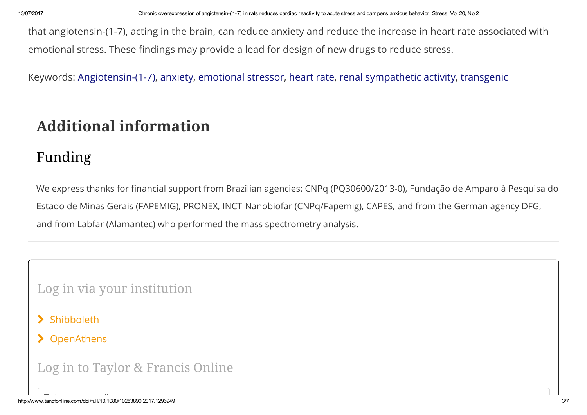that angiotensin-(1-7), acting in the brain, can reduce anxiety and reduce the increase in heart rate associated with emotional stress. These findings may provide a lead for design of new drugs to reduce stress.

Keywords: [Angiotensin-\(1-7\)](http://www.tandfonline.com/keyword/Angiotensin-%5C%281-7%5C%29), [anxiety,](http://www.tandfonline.com/keyword/Anxiety) [emotional](http://www.tandfonline.com/keyword/Emotional+Stressor) stressor, [heart](http://www.tandfonline.com/keyword/Heart+Rate) rate, renal [sympathetic](http://www.tandfonline.com/keyword/Renal+Sympathetic+Activity) activity, [transgenic](http://www.tandfonline.com/keyword/Transgenic)

## Additional information

### Funding

We express thanks for financial support from Brazilian agencies: CNPq (PQ30600/2013-0), Fundação de Amparo à Pesquisa do Estado de Minas Gerais (FAPEMIG), PRONEX, INCT-Nanobiofar (CNPq/Fapemig), CAPES, and from the German agency DFG, and from Labfar (Alamantec) who performed the mass spectrometry analysis.

#### Log in via your institution

- **[Shibboleth](http://www.tandfonline.com/action/ssostart?federationSelect=All&redirectUri=%2Fdoi%2Ffull%2F10.1080%2F10253890.2017.1296949)**
- **[OpenAthens](http://www.tandfonline.com/action/ssostart?idp=https%3A%2F%2Fidp.eduserv.org.uk%2Fopenathens&redirectUri=%2Fdoi%2Ffull%2F10.1080%2F10253890.2017.1296949)**

### Log in to Taylor & Francis Online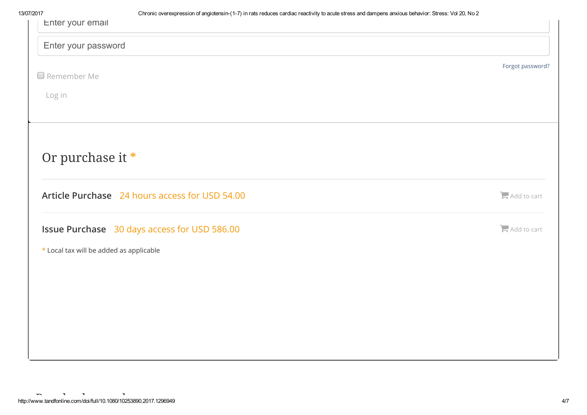| Enter your email                                    |                  |
|-----------------------------------------------------|------------------|
| Enter your password                                 |                  |
| Remember Me                                         | Forgot password? |
|                                                     |                  |
| Log in                                              |                  |
|                                                     |                  |
|                                                     |                  |
| Or purchase it *                                    |                  |
| Article Purchase 24 hours access for USD 54.00      | $Add$ to cart    |
| <b>Issue Purchase</b> 30 days access for USD 586.00 | $A$ dd to cart   |
| * Local tax will be added as applicable             |                  |
|                                                     |                  |
|                                                     |                  |
|                                                     |                  |
|                                                     |                  |
|                                                     |                  |
|                                                     |                  |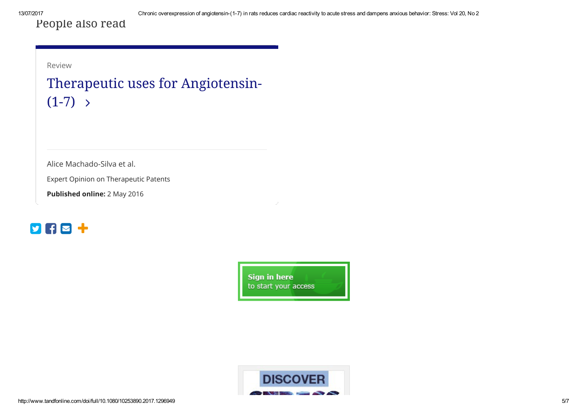People also read

Review

### Therapeutic uses for [Angiotensin-](http://www.tandfonline.com/doi/full/10.1080/13543776.2016.1179283?src=recsys)  $(1-7)$  >

Alice [Machado-Silva](http://www.tandfonline.com/author/Machado-Silva%2C+Alice) et al.

Expert Opinion on Therapeutic Patents

Published online: 2 May 2016

### $969 +$

**Sign in here** to start your access

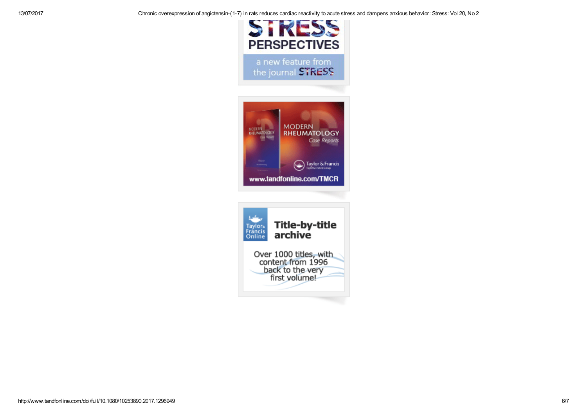